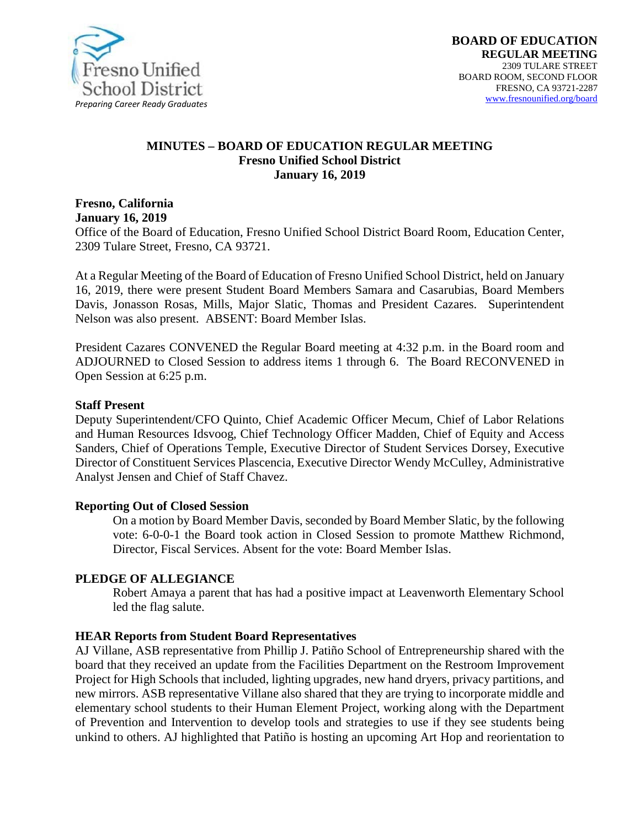

#### **MINUTES – BOARD OF EDUCATION REGULAR MEETING Fresno Unified School District January 16, 2019**

**Fresno, California January 16, 2019**

Office of the Board of Education, Fresno Unified School District Board Room, Education Center, 2309 Tulare Street, Fresno, CA 93721.

At a Regular Meeting of the Board of Education of Fresno Unified School District, held on January 16, 2019, there were present Student Board Members Samara and Casarubias, Board Members Davis, Jonasson Rosas, Mills, Major Slatic, Thomas and President Cazares. Superintendent Nelson was also present. ABSENT: Board Member Islas.

President Cazares CONVENED the Regular Board meeting at 4:32 p.m. in the Board room and ADJOURNED to Closed Session to address items 1 through 6. The Board RECONVENED in Open Session at 6:25 p.m.

#### **Staff Present**

Deputy Superintendent/CFO Quinto, Chief Academic Officer Mecum, Chief of Labor Relations and Human Resources Idsvoog, Chief Technology Officer Madden, Chief of Equity and Access Sanders, Chief of Operations Temple, Executive Director of Student Services Dorsey, Executive Director of Constituent Services Plascencia, Executive Director Wendy McCulley, Administrative Analyst Jensen and Chief of Staff Chavez.

#### **Reporting Out of Closed Session**

On a motion by Board Member Davis, seconded by Board Member Slatic, by the following vote: 6-0-0-1 the Board took action in Closed Session to promote Matthew Richmond, Director, Fiscal Services. Absent for the vote: Board Member Islas.

#### **PLEDGE OF ALLEGIANCE**

Robert Amaya a parent that has had a positive impact at Leavenworth Elementary School led the flag salute.

#### **HEAR Reports from Student Board Representatives**

AJ Villane, ASB representative from Phillip J. Patiño School of Entrepreneurship shared with the board that they received an update from the Facilities Department on the Restroom Improvement Project for High Schools that included, lighting upgrades, new hand dryers, privacy partitions, and new mirrors. ASB representative Villane also shared that they are trying to incorporate middle and elementary school students to their Human Element Project, working along with the Department of Prevention and Intervention to develop tools and strategies to use if they see students being unkind to others. AJ highlighted that Patiño is hosting an upcoming Art Hop and reorientation to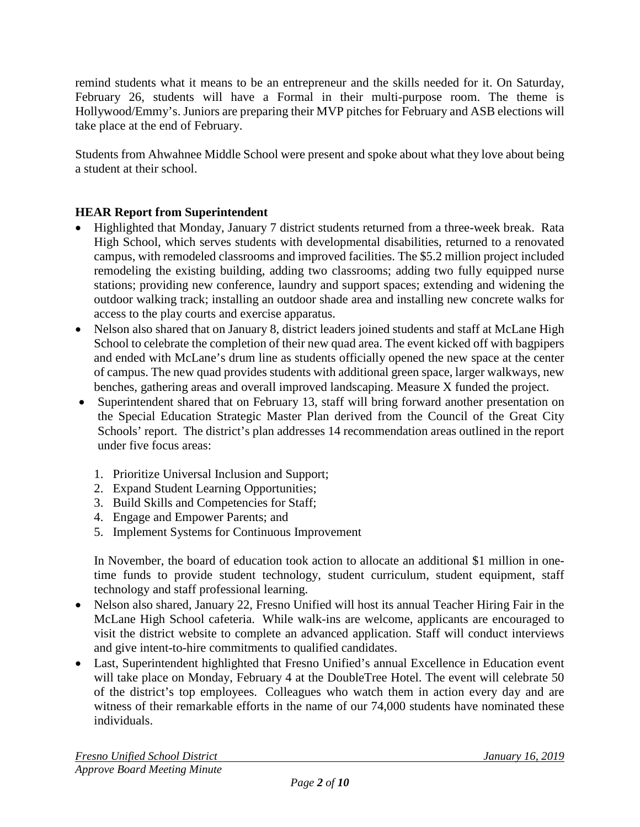remind students what it means to be an entrepreneur and the skills needed for it. On Saturday, February 26, students will have a Formal in their multi-purpose room. The theme is Hollywood/Emmy's. Juniors are preparing their MVP pitches for February and ASB elections will take place at the end of February.

Students from Ahwahnee Middle School were present and spoke about what they love about being a student at their school.

# **HEAR Report from Superintendent**

- Highlighted that Monday, January 7 district students returned from a three-week break. Rata High School, which serves students with developmental disabilities, returned to a renovated campus, with remodeled classrooms and improved facilities. The \$5.2 million project included remodeling the existing building, adding two classrooms; adding two fully equipped nurse stations; providing new conference, laundry and support spaces; extending and widening the outdoor walking track; installing an outdoor shade area and installing new concrete walks for access to the play courts and exercise apparatus.
- Nelson also shared that on January 8, district leaders joined students and staff at McLane High School to celebrate the completion of their new quad area. The event kicked off with bagpipers and ended with McLane's drum line as students officially opened the new space at the center of campus. The new quad provides students with additional green space, larger walkways, new benches, gathering areas and overall improved landscaping. Measure X funded the project.
- Superintendent shared that on February 13, staff will bring forward another presentation on the Special Education Strategic Master Plan derived from the Council of the Great City Schools' report. The district's plan addresses 14 recommendation areas outlined in the report under five focus areas:
	- 1. Prioritize Universal Inclusion and Support;
	- 2. Expand Student Learning Opportunities;
	- 3. Build Skills and Competencies for Staff;
	- 4. Engage and Empower Parents; and
	- 5. Implement Systems for Continuous Improvement

In November, the board of education took action to allocate an additional \$1 million in onetime funds to provide student technology, student curriculum, student equipment, staff technology and staff professional learning.

- Nelson also shared, January 22, Fresno Unified will host its annual Teacher Hiring Fair in the McLane High School cafeteria. While walk-ins are welcome, applicants are encouraged to visit the district website to complete an advanced application. Staff will conduct interviews and give intent-to-hire commitments to qualified candidates.
- Last, Superintendent highlighted that Fresno Unified's annual Excellence in Education event will take place on Monday, February 4 at the DoubleTree Hotel. The event will celebrate 50 of the district's top employees. Colleagues who watch them in action every day and are witness of their remarkable efforts in the name of our 74,000 students have nominated these individuals.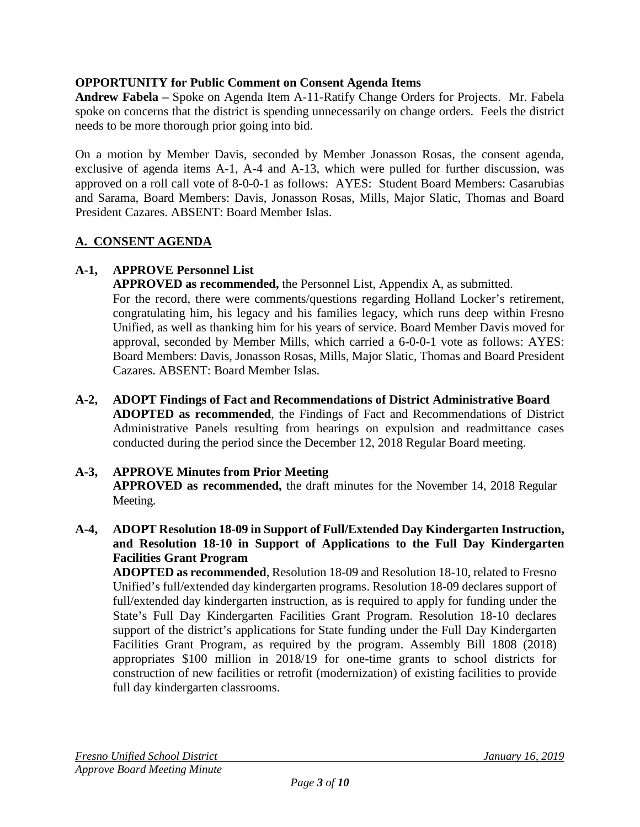# **OPPORTUNITY for Public Comment on Consent Agenda Items**

**Andrew Fabela –** Spoke on Agenda Item A-11-Ratify Change Orders for Projects. Mr. Fabela spoke on concerns that the district is spending unnecessarily on change orders. Feels the district needs to be more thorough prior going into bid.

On a motion by Member Davis, seconded by Member Jonasson Rosas, the consent agenda, exclusive of agenda items A-1, A-4 and A-13, which were pulled for further discussion, was approved on a roll call vote of 8-0-0-1 as follows: AYES: Student Board Members: Casarubias and Sarama, Board Members: Davis, Jonasson Rosas, Mills, Major Slatic, Thomas and Board President Cazares. ABSENT: Board Member Islas.

## **A. CONSENT AGENDA**

# **A-1, APPROVE Personnel List**

**APPROVED as recommended,** the Personnel List, Appendix A, as submitted. For the record, there were comments/questions regarding Holland Locker's retirement, congratulating him, his legacy and his families legacy, which runs deep within Fresno Unified, as well as thanking him for his years of service. Board Member Davis moved for approval, seconded by Member Mills, which carried a 6-0-0-1 vote as follows: AYES: Board Members: Davis, Jonasson Rosas, Mills, Major Slatic, Thomas and Board President Cazares. ABSENT: Board Member Islas.

**A-2, ADOPT Findings of Fact and Recommendations of District Administrative Board ADOPTED as recommended**, the Findings of Fact and Recommendations of District Administrative Panels resulting from hearings on expulsion and readmittance cases conducted during the period since the December 12, 2018 Regular Board meeting.

#### **A-3, APPROVE Minutes from Prior Meeting**

**APPROVED as recommended,** the draft minutes for the November 14, 2018 Regular Meeting.

**A-4, ADOPT Resolution 18-09 in Support of Full/Extended Day Kindergarten Instruction, and Resolution 18-10 in Support of Applications to the Full Day Kindergarten Facilities Grant Program**

**ADOPTED as recommended**, Resolution 18-09 and Resolution 18-10, related to Fresno Unified's full/extended day kindergarten programs. Resolution 18-09 declares support of full/extended day kindergarten instruction, as is required to apply for funding under the State's Full Day Kindergarten Facilities Grant Program. Resolution 18-10 declares support of the district's applications for State funding under the Full Day Kindergarten Facilities Grant Program, as required by the program. Assembly Bill 1808 (2018) appropriates \$100 million in 2018/19 for one-time grants to school districts for construction of new facilities or retrofit (modernization) of existing facilities to provide full day kindergarten classrooms.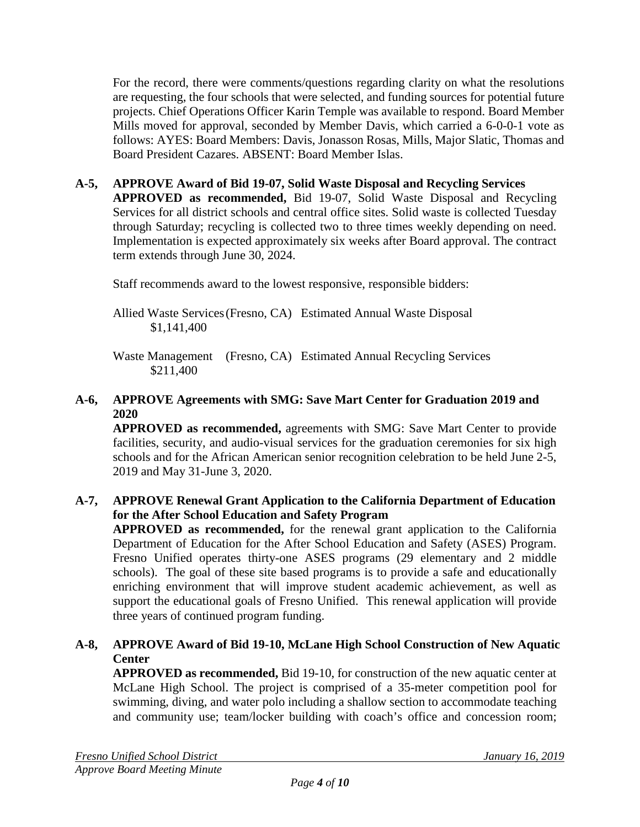For the record, there were comments/questions regarding clarity on what the resolutions are requesting, the four schools that were selected, and funding sources for potential future projects. Chief Operations Officer Karin Temple was available to respond. Board Member Mills moved for approval, seconded by Member Davis, which carried a 6-0-0-1 vote as follows: AYES: Board Members: Davis, Jonasson Rosas, Mills, Major Slatic, Thomas and Board President Cazares. ABSENT: Board Member Islas.

**A-5, APPROVE Award of Bid 19-07, Solid Waste Disposal and Recycling Services APPROVED as recommended,** Bid 19-07, Solid Waste Disposal and Recycling Services for all district schools and central office sites. Solid waste is collected Tuesday through Saturday; recycling is collected two to three times weekly depending on need. Implementation is expected approximately six weeks after Board approval. The contract term extends through June 30, 2024.

Staff recommends award to the lowest responsive, responsible bidders:

Allied Waste Services(Fresno, CA) Estimated Annual Waste Disposal \$1,141,400

Waste Management (Fresno, CA) Estimated Annual Recycling Services \$211,400

# **A-6, APPROVE Agreements with SMG: Save Mart Center for Graduation 2019 and 2020**

**APPROVED as recommended,** agreements with SMG: Save Mart Center to provide facilities, security, and audio-visual services for the graduation ceremonies for six high schools and for the African American senior recognition celebration to be held June 2-5, 2019 and May 31-June 3, 2020.

## **A-7, APPROVE Renewal Grant Application to the California Department of Education for the After School Education and Safety Program**

**APPROVED as recommended,** for the renewal grant application to the California Department of Education for the After School Education and Safety (ASES) Program. Fresno Unified operates thirty-one ASES programs (29 elementary and 2 middle schools). The goal of these site based programs is to provide a safe and educationally enriching environment that will improve student academic achievement, as well as support the educational goals of Fresno Unified. This renewal application will provide three years of continued program funding.

# **A-8, APPROVE Award of Bid 19-10, McLane High School Construction of New Aquatic Center**

**APPROVED as recommended,** Bid 19-10, for construction of the new aquatic center at McLane High School. The project is comprised of a 35-meter competition pool for swimming, diving, and water polo including a shallow section to accommodate teaching and community use; team/locker building with coach's office and concession room;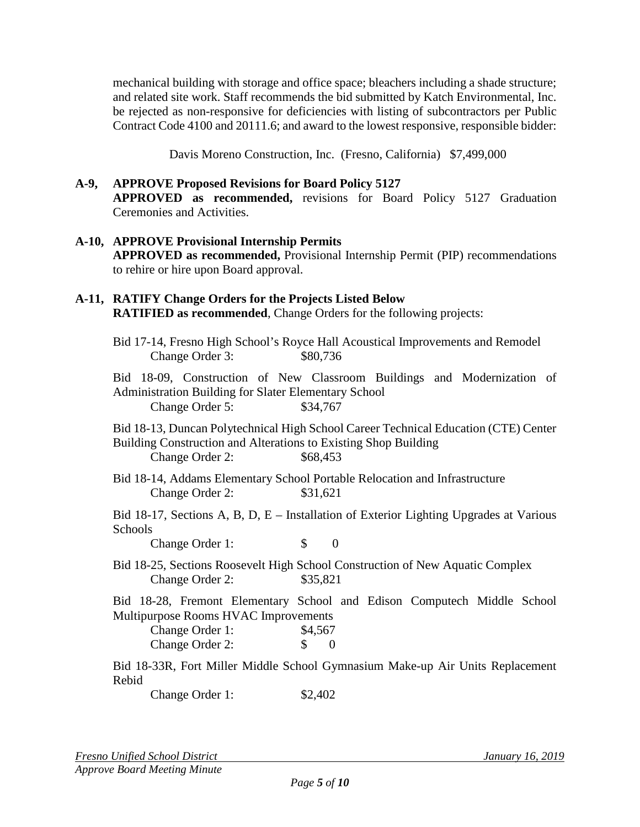mechanical building with storage and office space; bleachers including a shade structure; and related site work. Staff recommends the bid submitted by Katch Environmental, Inc. be rejected as non-responsive for deficiencies with listing of subcontractors per Public Contract Code 4100 and 20111.6; and award to the lowest responsive, responsible bidder:

Davis Moreno Construction, Inc. (Fresno, California) \$7,499,000

#### **A-9, APPROVE Proposed Revisions for Board Policy 5127**

**APPROVED as recommended,** revisions for Board Policy 5127 Graduation Ceremonies and Activities.

#### **A-10, APPROVE Provisional Internship Permits**

**APPROVED as recommended,** Provisional Internship Permit (PIP) recommendations to rehire or hire upon Board approval.

# **A-11, RATIFY Change Orders for the Projects Listed Below**

**RATIFIED as recommended**, Change Orders for the following projects:

Bid 17-14, Fresno High School's Royce Hall Acoustical Improvements and Remodel Change Order 3: \$80,736

Bid 18-09, Construction of New Classroom Buildings and Modernization of Administration Building for Slater Elementary School Change Order 5: \$34,767

Bid 18-13, Duncan Polytechnical High School Career Technical Education (CTE) Center Building Construction and Alterations to Existing Shop Building Change Order 2: \$68,453

Bid 18-14, Addams Elementary School Portable Relocation and Infrastructure Change Order 2: \$31,621

Bid 18-17, Sections A, B, D, E – Installation of Exterior Lighting Upgrades at Various Schools

Change Order 1: \$ 0

Bid 18-25, Sections Roosevelt High School Construction of New Aquatic Complex Change Order 2: \$35,821

Bid 18-28, Fremont Elementary School and Edison Computech Middle School Multipurpose Rooms HVAC Improvements

| Change Order 1: | \$4,567 |                  |
|-----------------|---------|------------------|
| Change Order 2: | SS.     | $\left( \right)$ |

Bid 18-33R, Fort Miller Middle School Gymnasium Make-up Air Units Replacement Rebid

Change Order 1: \$2,402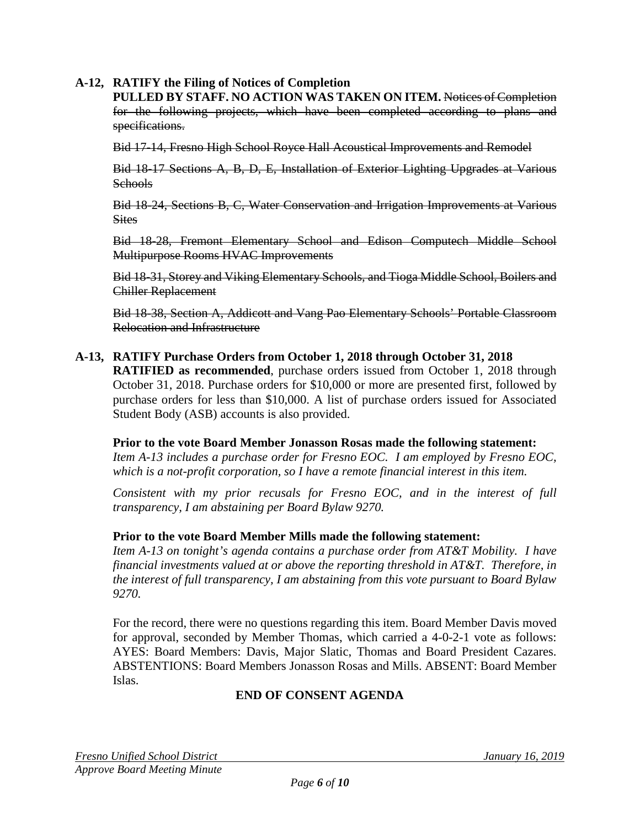## **A-12, RATIFY the Filing of Notices of Completion**

**PULLED BY STAFF. NO ACTION WAS TAKEN ON ITEM.** Notices of Completion for the following projects, which have been completed according to plans and specifications.

Bid 17-14, Fresno High School Royce Hall Acoustical Improvements and Remodel

Bid 18-17 Sections A, B, D, E, Installation of Exterior Lighting Upgrades at Various Schools

Bid 18-24, Sections B, C, Water Conservation and Irrigation Improvements at Various **Sites** 

Bid 18-28, Fremont Elementary School and Edison Computech Middle School Multipurpose Rooms HVAC Improvements

Bid 18-31, Storey and Viking Elementary Schools, and Tioga Middle School, Boilers and Chiller Replacement

Bid 18-38, Section A, Addicott and Vang Pao Elementary Schools' Portable Classroom Relocation and Infrastructure

**A-13, RATIFY Purchase Orders from October 1, 2018 through October 31, 2018 RATIFIED as recommended**, purchase orders issued from October 1, 2018 through October 31, 2018. Purchase orders for \$10,000 or more are presented first, followed by purchase orders for less than \$10,000. A list of purchase orders issued for Associated Student Body (ASB) accounts is also provided.

**Prior to the vote Board Member Jonasson Rosas made the following statement:** *Item A-13 includes a purchase order for Fresno EOC. I am employed by Fresno EOC,* 

*which is a not-profit corporation, so I have a remote financial interest in this item.*

*Consistent with my prior recusals for Fresno EOC, and in the interest of full transparency, I am abstaining per Board Bylaw 9270.*

#### **Prior to the vote Board Member Mills made the following statement:**

*Item A-13 on tonight's agenda contains a purchase order from AT&T Mobility. I have financial investments valued at or above the reporting threshold in AT&T. Therefore, in the interest of full transparency, I am abstaining from this vote pursuant to Board Bylaw 9270.*

For the record, there were no questions regarding this item. Board Member Davis moved for approval, seconded by Member Thomas, which carried a 4-0-2-1 vote as follows: AYES: Board Members: Davis, Major Slatic, Thomas and Board President Cazares. ABSTENTIONS: Board Members Jonasson Rosas and Mills. ABSENT: Board Member Islas.

# **END OF CONSENT AGENDA**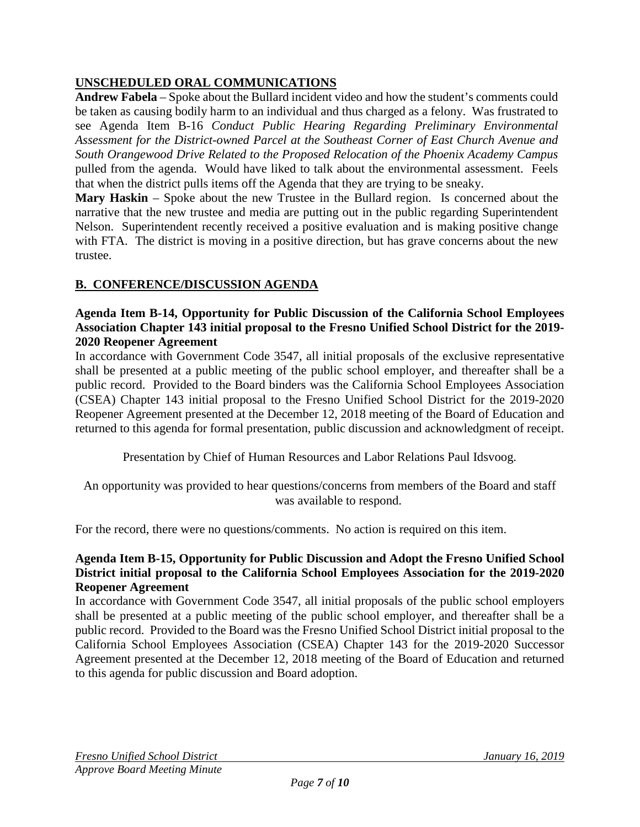# **UNSCHEDULED ORAL COMMUNICATIONS**

**Andrew Fabela** – Spoke about the Bullard incident video and how the student's comments could be taken as causing bodily harm to an individual and thus charged as a felony. Was frustrated to see Agenda Item B-16 *Conduct Public Hearing Regarding Preliminary Environmental Assessment for the District-owned Parcel at the Southeast Corner of East Church Avenue and South Orangewood Drive Related to the Proposed Relocation of the Phoenix Academy Campus*  pulled from the agenda. Would have liked to talk about the environmental assessment. Feels that when the district pulls items off the Agenda that they are trying to be sneaky.

**Mary Haskin** – Spoke about the new Trustee in the Bullard region. Is concerned about the narrative that the new trustee and media are putting out in the public regarding Superintendent Nelson. Superintendent recently received a positive evaluation and is making positive change with FTA. The district is moving in a positive direction, but has grave concerns about the new trustee.

# **B. CONFERENCE/DISCUSSION AGENDA**

#### **Agenda Item B-14, Opportunity for Public Discussion of the California School Employees Association Chapter 143 initial proposal to the Fresno Unified School District for the 2019- 2020 Reopener Agreement**

In accordance with Government Code 3547, all initial proposals of the exclusive representative shall be presented at a public meeting of the public school employer, and thereafter shall be a public record. Provided to the Board binders was the California School Employees Association (CSEA) Chapter 143 initial proposal to the Fresno Unified School District for the 2019-2020 Reopener Agreement presented at the December 12, 2018 meeting of the Board of Education and returned to this agenda for formal presentation, public discussion and acknowledgment of receipt.

Presentation by Chief of Human Resources and Labor Relations Paul Idsvoog.

An opportunity was provided to hear questions/concerns from members of the Board and staff was available to respond.

For the record, there were no questions/comments. No action is required on this item.

#### **Agenda Item B-15, Opportunity for Public Discussion and Adopt the Fresno Unified School District initial proposal to the California School Employees Association for the 2019-2020 Reopener Agreement**

In accordance with Government Code 3547, all initial proposals of the public school employers shall be presented at a public meeting of the public school employer, and thereafter shall be a public record. Provided to the Board was the Fresno Unified School District initial proposal to the California School Employees Association (CSEA) Chapter 143 for the 2019-2020 Successor Agreement presented at the December 12, 2018 meeting of the Board of Education and returned to this agenda for public discussion and Board adoption.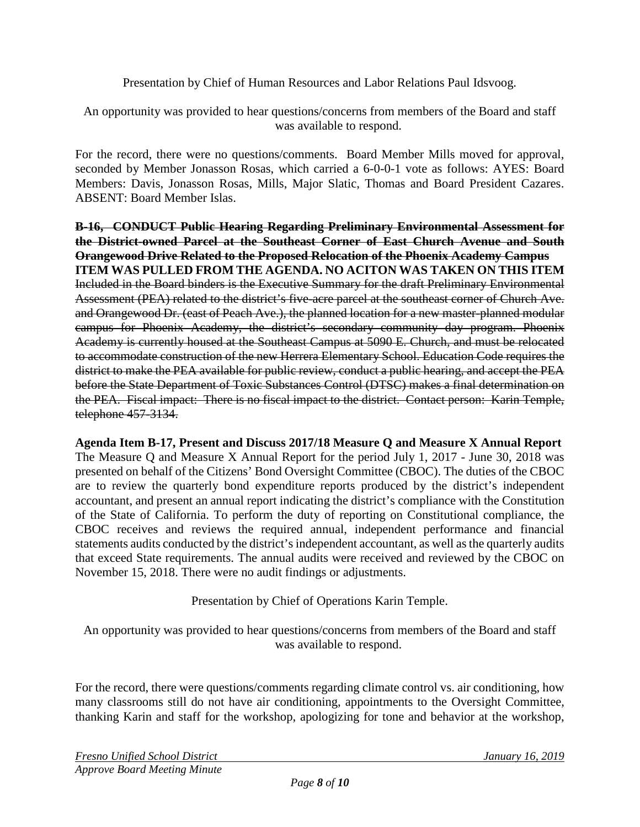Presentation by Chief of Human Resources and Labor Relations Paul Idsvoog.

An opportunity was provided to hear questions/concerns from members of the Board and staff was available to respond.

For the record, there were no questions/comments. Board Member Mills moved for approval, seconded by Member Jonasson Rosas, which carried a 6-0-0-1 vote as follows: AYES: Board Members: Davis, Jonasson Rosas, Mills, Major Slatic, Thomas and Board President Cazares. ABSENT: Board Member Islas.

**B-16, CONDUCT Public Hearing Regarding Preliminary Environmental Assessment for the District-owned Parcel at the Southeast Corner of East Church Avenue and South Orangewood Drive Related to the Proposed Relocation of the Phoenix Academy Campus ITEM WAS PULLED FROM THE AGENDA. NO ACITON WAS TAKEN ON THIS ITEM** Included in the Board binders is the Executive Summary for the draft Preliminary Environmental Assessment (PEA) related to the district's five-acre parcel at the southeast corner of Church Ave. and Orangewood Dr. (east of Peach Ave.), the planned location for a new master-planned modular campus for Phoenix Academy, the district's secondary community day program. Phoenix Academy is currently housed at the Southeast Campus at 5090 E. Church, and must be relocated to accommodate construction of the new Herrera Elementary School. Education Code requires the district to make the PEA available for public review, conduct a public hearing, and accept the PEA before the State Department of Toxic Substances Control (DTSC) makes a final determination on the PEA. Fiscal impact: There is no fiscal impact to the district. Contact person: Karin Temple, telephone 457-3134.

**Agenda Item B-17, Present and Discuss 2017/18 Measure Q and Measure X Annual Report** The Measure Q and Measure X Annual Report for the period July 1, 2017 - June 30, 2018 was presented on behalf of the Citizens' Bond Oversight Committee (CBOC). The duties of the CBOC are to review the quarterly bond expenditure reports produced by the district's independent accountant, and present an annual report indicating the district's compliance with the Constitution of the State of California. To perform the duty of reporting on Constitutional compliance, the CBOC receives and reviews the required annual, independent performance and financial statements audits conducted by the district's independent accountant, as well as the quarterly audits that exceed State requirements. The annual audits were received and reviewed by the CBOC on November 15, 2018. There were no audit findings or adjustments.

Presentation by Chief of Operations Karin Temple.

An opportunity was provided to hear questions/concerns from members of the Board and staff was available to respond.

For the record, there were questions/comments regarding climate control vs. air conditioning, how many classrooms still do not have air conditioning, appointments to the Oversight Committee, thanking Karin and staff for the workshop, apologizing for tone and behavior at the workshop,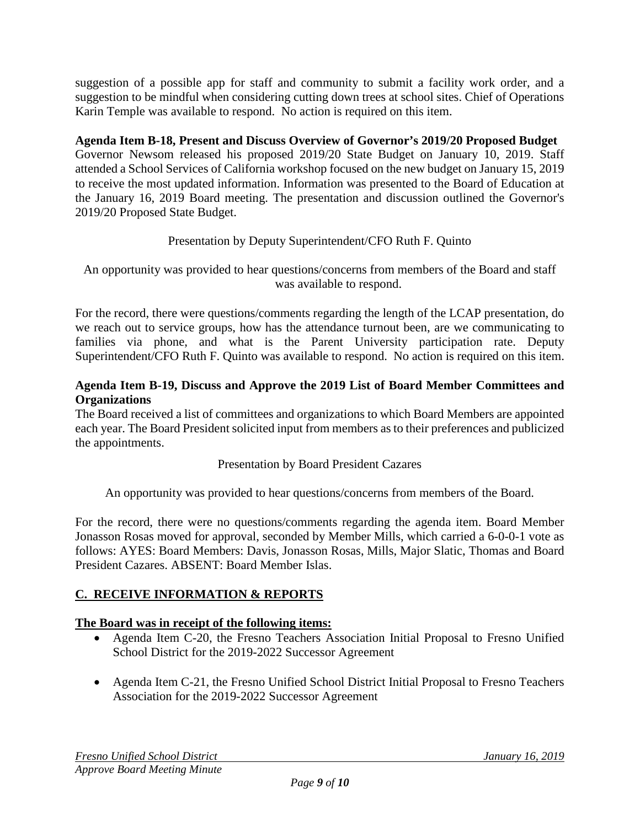suggestion of a possible app for staff and community to submit a facility work order, and a suggestion to be mindful when considering cutting down trees at school sites. Chief of Operations Karin Temple was available to respond. No action is required on this item.

## **Agenda Item B-18, Present and Discuss Overview of Governor's 2019/20 Proposed Budget**

Governor Newsom released his proposed 2019/20 State Budget on January 10, 2019. Staff attended a School Services of California workshop focused on the new budget on January 15, 2019 to receive the most updated information. Information was presented to the Board of Education at the January 16, 2019 Board meeting. The presentation and discussion outlined the Governor's 2019/20 Proposed State Budget.

# Presentation by Deputy Superintendent/CFO Ruth F. Quinto

An opportunity was provided to hear questions/concerns from members of the Board and staff was available to respond.

For the record, there were questions/comments regarding the length of the LCAP presentation, do we reach out to service groups, how has the attendance turnout been, are we communicating to families via phone, and what is the Parent University participation rate. Deputy Superintendent/CFO Ruth F. Quinto was available to respond. No action is required on this item.

## **Agenda Item B-19, Discuss and Approve the 2019 List of Board Member Committees and Organizations**

The Board received a list of committees and organizations to which Board Members are appointed each year. The Board President solicited input from members as to their preferences and publicized the appointments.

#### Presentation by Board President Cazares

An opportunity was provided to hear questions/concerns from members of the Board.

For the record, there were no questions/comments regarding the agenda item. Board Member Jonasson Rosas moved for approval, seconded by Member Mills, which carried a 6-0-0-1 vote as follows: AYES: Board Members: Davis, Jonasson Rosas, Mills, Major Slatic, Thomas and Board President Cazares. ABSENT: Board Member Islas.

# **C. RECEIVE INFORMATION & REPORTS**

#### **The Board was in receipt of the following items:**

- Agenda Item C-20, the Fresno Teachers Association Initial Proposal to Fresno Unified School District for the 2019-2022 Successor Agreement
- Agenda Item C-21, the Fresno Unified School District Initial Proposal to Fresno Teachers Association for the 2019-2022 Successor Agreement